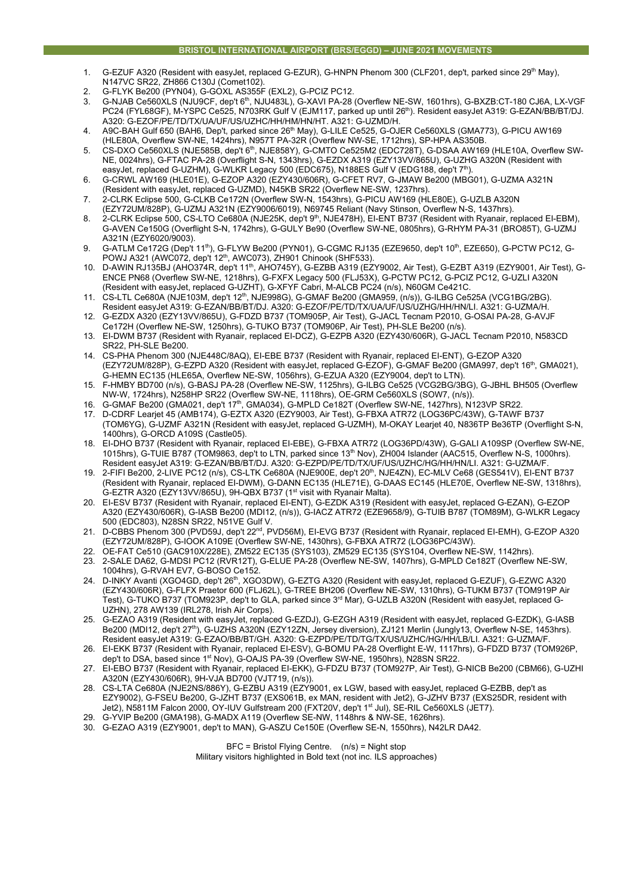## **BRISTOL INTERNATIONAL AIRPORT (BRS/EGGD) – JUNE 2021 MOVEMENTS**

- 1. G-EZUF A320 (Resident with easyJet, replaced G-EZUR), G-HNPN Phenom 300 (CLF201, dep't, parked since 29<sup>th</sup> May), N147VC SR22, ZH866 C130J (Comet102).
- 2. G-FLYK Be200 (PYN04), G-GOXL AS355F (EXL2), G-PCIZ PC12.
- 3. G-NJAB Ce560XLS (NJU9CF, dep't 6th, NJU483L), G-XAVI PA-28 (Overflew NE-SW, 1601hrs), G-BXZB:CT-180 CJ6A, LX-VGF PC24 (FYL68GF), M-YSPC Ce525, N703RK Gulf V (EJM117, parked up until 26th). Resident easyJet A319: G-EZAN/BB/BT/DJ. A320: G-EZOF/PE/TD/TX/UA/UF/US/UZHC/HH/HM/HN/HT. A321: G-UZMD/H.
- 4. A9C-BAH Gulf 650 (BAH6, Dep't, parked since 26<sup>th</sup> May), G-LILE Ce525, G-OJER Ce560XLS (GMA773), G-PICU AW169 (HLE80A, Overflew SW-NE, 1424hrs), N957T PA-32R (Overflew NW-SE, 1712hrs), SP-HPA AS350B.
- 5. CS-DXO Ce560XLS (NJE585B, dep't 6<sup>th</sup>, NJE858Y), G-CMTO Ce525M2 (EDC728T), G-DSAA AW169 (HLE10A, Overflew SW-NE, 0024hrs), G-FTAC PA-28 (Overflight S-N, 1343hrs), G-EZDX A319 (EZY13VV/865U), G-UZHG A320N (Resident with easyJet, replaced G-UZHM), G-WLKR Legacy 500 (EDC675), N188ES Gulf V (EDG188, dep't 7<sup>th</sup>)
- 6. G-CRWL AW169 (HLE01E), G-EZOP A320 (EZY430/606R), G-CFET RV7, G-JMAW Be200 (MBG01), G-UZMA A321N (Resident with easyJet, replaced G-UZMD), N45KB SR22 (Overflew NE-SW, 1237hrs).
- 7. 2-CLRK Eclipse 500, G-CLKB Ce172N (Overflew SW-N, 1543hrs), G-PICU AW169 (HLE80E), G-UZLB A320N
- (EZY72UM/828P), G-UZMJ A321N (EZY9006/6019), N69745 Reliant (Navy Stinson, Overflew N-S, 1437hrs). 8. 2-CLRK Eclipse 500, CS-LTO Ce680A (NJE25K, dep't 9<sup>th</sup>, NJE478H), EI-ENT B737 (Resident with Ryanair, replaced EI-EBM), G-AVEN Ce150G (Overflight S-N, 1742hrs), G-GULY Be90 (Overflew SW-NE, 0805hrs), G-RHYM PA-31 (BRO85T), G-UZMJ
- A321N (EZY6020/9003). 9. G-ATLM Ce172G (Dep't 11<sup>th</sup>), G-FLYW Be200 (PYN01), G-CGMC RJ135 (EZE9650, dep't 10<sup>th</sup>, EZE650), G-PCTW PC12, G-POWJ A321 (AWC072, dep't 12<sup>th</sup>, AWC073), ZH901 Chinook (SHF533).
- 10. D-AWIN RJ135BJ (AHO374R, dep't 11th, AHO745Y), G-EZBB A319 (EZY9002, Air Test), G-EZBT A319 (EZY9001, Air Test), G-ENCE PN68 (Overflew SW-NE, 1218hrs), G-FXFX Legacy 500 (FLJ53X), G-PCTW PC12, G-PCIZ PC12, G-UZLI A320N (Resident with easyJet, replaced G-UZHT), G-XFYF Cabri, M-ALCB PC24 (n/s), N60GM Ce421C.
- 11. CS-LTL Ce680A (NJE103M, dep't 12th, NJE998G), G-GMAF Be200 (GMA959, (n/s)), G-ILBG Ce525A (VCG1BG/2BG). Resident easyJet A319: G-EZAN/BB/BT/DJ. A320: G-EZOF/PE/TD/TX/UA/UF/US/UZHG/HH/HN/LI. A321: G-UZMA/H.
- 12. G-EZDX A320 (EZY13VV/865U), G-FDZD B737 (TOM905P, Air Test), G-JACL Tecnam P2010, G-OSAI PA-28, G-AVJF Ce172H (Overflew NE-SW, 1250hrs), G-TUKO B737 (TOM906P, Air Test), PH-SLE Be200 (n/s).
- 13. EI-DWM B737 (Resident with Ryanair, replaced EI-DCZ), G-EZPB A320 (EZY430/606R), G-JACL Tecnam P2010, N583CD SR22, PH-SLE Be200.
- 14. CS-PHA Phenom 300 (NJE448C/8AQ), EI-EBE B737 (Resident with Ryanair, replaced EI-ENT), G-EZOP A320 (EZY72UM/828P), G-EZPD A320 (Resident with easyJet, replaced G-EZOF), G-GMAF Be200 (GMA997, dep't 16<sup>th</sup>, GMA021), G-HEMN EC135 (HLE65A, Overflew NE-SW, 1056hrs), G-EZUA A320 (EZY9004, dep't to LTN).
- 15. F-HMBY BD700 (n/s), G-BASJ PA-28 (Overflew NE-SW, 1125hrs), G-ILBG Ce525 (VCG2BG/3BG), G-JBHL BH505 (Overflew NW-W, 1724hrs), N258HP SR22 (Overflew SW-NE, 1118hrs), OE-GRM Ce560XLS (SOW7, (n/s)).
- 16. G-GMAF Be200 (GMA021, dep't 17th, GMA034), G-MPLD Ce182T (Overflew SW-NE, 1427hrs), N123VP SR22.
- 17. D-CDRF Learjet 45 (AMB174), G-EZTX A320 (EZY9003, Air Test), G-FBXA ATR72 (LOG36PC/43W), G-TAWF B737 (TOM6YG), G-UZMF A321N (Resident with easyJet, replaced G-UZMH), M-OKAY Learjet 40, N836TP Be36TP (Overflight S-N, 1400hrs), G-ORCD A109S (Castle05).
- 18. EI-DHO B737 (Resident with Ryanair, replaced EI-EBE), G-FBXA ATR72 (LOG36PD/43W), G-GALI A109SP (Overflew SW-NE, 1015hrs), G-TUIE B787 (TOM9863, dep't to LTN, parked since 13th Nov), ZH004 Islander (AAC515, Overflew N-S, 1000hrs). Resident easyJet A319: G-EZAN/BB/BT/DJ. A320: G-EZPD/PE/TD/TX/UF/US/UZHC/HG/HH/HN/LI. A321: G-UZMA/F.
- 19. 2-FIFI Be200, 2-LIVE PC12 (n/s), CS-LTK Ce680A (NJE900E, dep't 20th, NJE4ZN), EC-MLV Ce68 (GES541V), EI-ENT B737 (Resident with Ryanair, replaced EI-DWM), G-DANN EC135 (HLE71E), G-DAAS EC145 (HLE70E, Overflew NE-SW, 1318hrs), G-EZTR A320 (EZY13VV/865U), 9H-QBX B737 (1st visit with Ryanair Malta).
- 20. EI-ESV B737 (Resident with Ryanair, replaced EI-ENT), G-EZDK A319 (Resident with easyJet, replaced G-EZAN), G-EZOP A320 (EZY430/606R), G-IASB Be200 (MDI12, (n/s)), G-IACZ ATR72 (EZE9658/9), G-TUIB B787 (TOM89M), G-WLKR Legacy 500 (EDC803), N28SN SR22, N51VE Gulf V.
- 21. D-CBBS Phenom 300 (PVD59J, dep't 22nd, PVD56M), EI-EVG B737 (Resident with Ryanair, replaced EI-EMH), G-EZOP A320 (EZY72UM/828P), G-IOOK A109E (Overflew SW-NE, 1430hrs), G-FBXA ATR72 (LOG36PC/43W).
- 22. OE-FAT Ce510 (GAC910X/228E), ZM522 EC135 (SYS103), ZM529 EC135 (SYS104, Overflew NE-SW, 1142hrs).
- 23. 2-SALE DA62, G-MDSI PC12 (RVR12T), G-ELUE PA-28 (Overflew NE-SW, 1407hrs), G-MPLD Ce182T (Overflew NE-SW, 1004hrs), G-RVAH EV7, G-BOSO Ce152.
- 24. D-INKY Avanti (XGO4GD, dep't 26<sup>th</sup>, XGO3DW), G-EZTG A320 (Resident with easyJet, replaced G-EZUF), G-EZWC A320 (EZY430/606R), G-FLFX Praetor 600 (FLJ62L), G-TREE BH206 (Overflew NE-SW, 1310hrs), G-TUKM B737 (TOM919P Air Test), G-TUKO B737 (TOM923P, dep't to GLA, parked since 3rd Mar), G-UZLB A320N (Resident with easyJet, replaced G-UZHN), 278 AW139 (IRL278, Irish Air Corps).
- 25. G-EZAO A319 (Resident with easyJet, replaced G-EZDJ), G-EZGH A319 (Resident with easyJet, replaced G-EZDK), G-IASB Be200 (MDI12, dep't 27<sup>th</sup>), G-UZHS A320N (EZY12ZN, Jersey diversion), ZJ121 Merlin (Jungly13, Overflew N-SE, 1453hrs). Resident easyJet A319: G-EZAO/BB/BT/GH. A320: G-EZPD/PE/TD/TG/TX/US/UZHC/HG/HH/LB/LI. A321: G-UZMA/F.
- 26. EI-EKK B737 (Resident with Ryanair, replaced EI-ESV), G-BOMU PA-28 Overflight E-W, 1117hrs), G-FDZD B737 (TOM926P, dep't to DSA, based since 1<sup>st</sup> Nov), G-OAJS PA-39 (Overflew SW-NE, 1950hrs), N28SN SR22.
- 27. EI-EBO B737 (Resident with Ryanair, replaced EI-EKK), G-FDZU B737 (TOM927P, Air Test), G-NICB Be200 (CBM66), G-UZHI A320N (EZY430/606R), 9H-VJA BD700 (VJT719, (n/s)).
- 28. CS-LTA Ce680A (NJE2NS/886Y), G-EZBU A319 (EZY9001, ex LGW, based with easyJet, replaced G-EZBB, dep't as EZY9002), G-FSEU Be200, G-JZHT B737 (EXS061B, ex MAN, resident with Jet2), G-JZHV B737 (EXS25DR, resident with Jet2), N5811M Falcon 2000, OY-IUV Gulfstream 200 (FXT20V, dep't 1st Jul), SE-RIL Ce560XLS (JET7).
- 29. G-YVIP Be200 (GMA198), G-MADX A119 (Overflew SE-NW, 1148hrs & NW-SE, 1626hrs).
- 30. G-EZAO A319 (EZY9001, dep't to MAN), G-ASZU Ce150E (Overflew SE-N, 1550hrs), N42LR DA42.

BFC = Bristol Flying Centre. (n/s) = Night stop Military visitors highlighted in Bold text (not inc. ILS approaches)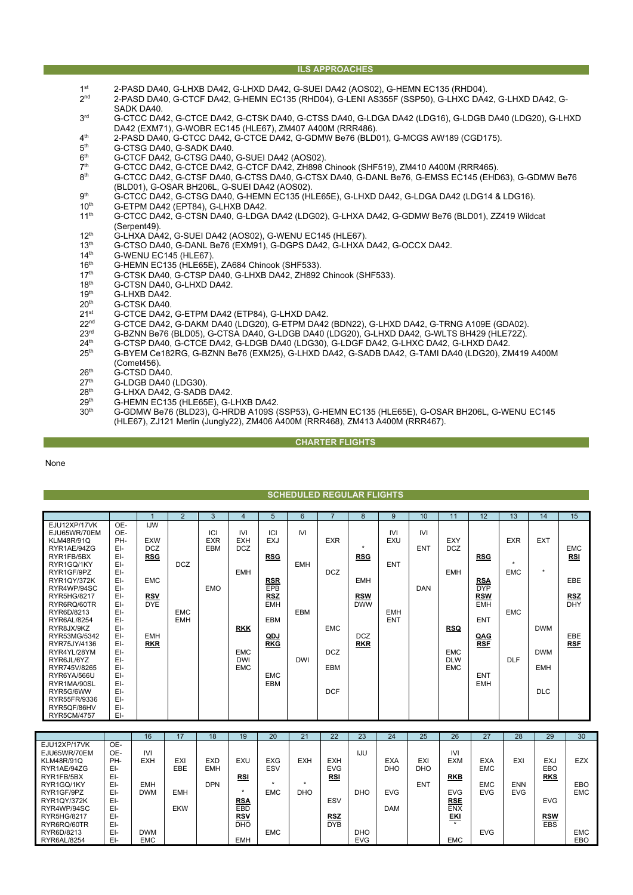#### **ILS APPROACHES**

- 1st 2-PASD DA40, G-LHXB DA42, G-LHXD DA42, G-SUEI DA42 (AOS02), G-HEMN EC135 (RHD04).<br>2<sup>nd</sup> 2-PASD DA40, G-CTCF DA42, G-HEMN EC135 (RHD04), G-LENI AS355F (SSP50), G-LHXC DA4
- 2nd 2-PASD DA40, G-CTCF DA42, G-HEMN EC135 (RHD04), G-LENI AS355F (SSP50), G-LHXC DA42, G-LHXD DA42, G-SADK DA40.
- 3rd G-CTCC DA42, G-CTCE DA42, G-CTSK DA40, G-CTSS DA40, G-LDGA DA42 (LDG16), G-LDGB DA40 (LDG20), G-LHXD DA42 (EXM71), G-WOBR EC145 (HLE67), ZM407 A400M (RRR486).
- 4<sup>th</sup> 2-PASD DA40, G-CTCC DA42, G-CTCE DA42, G-GDMW Be76 (BLD01), G-MCGS AW189 (CGD175).<br>5<sup>th</sup> G-CTSG DA40, G-SADK DA40
- 5<sup>th</sup> G-CTSG DA40, G-SADK DA40.<br>6<sup>th</sup> G-CTCF DA42, G-CTSG DA40.
- $6<sup>th</sup>$  G-CTCF DA42, G-CTSG DA40, G-SUEI DA42 (AOS02).<br> $7<sup>th</sup>$  G-CTCC DA42, G-CTCE DA42, G-CTCF DA42, ZH898 (
- 7th G-CTCC DA42, G-CTCE DA42, G-CTCF DA42, ZH898 Chinook (SHF519), ZM410 A400M (RRR465).
- 8th G-CTCC DA42, G-CTSF DA40, G-CTSS DA40, G-CTSX DA40, G-DANL Be76, G-EMSS EC145 (EHD63), G-GDMW Be76 (BLD01), G-OSAR BH206L, G-SUEI DA42 (AOS02).
- 9<sup>th</sup> G-CTCC DA42, G-CTSG DA40, G-HEMN EC135 (HLE65E), G-LHXD DA42, G-LDGA DA42 (LDG14 & LDG16).<br>10<sup>th</sup> G-ETPM DA42 (EPT84). G-LHXB DA42.
- 10<sup>th</sup> G-ETPM DA42 (EPT84), G-LHXB DA42.<br>11<sup>th</sup> G-CTCC DA42 G-CTSN DA40 G-LDGA
- 11th G-CTCC DA42, G-CTSN DA40, G-LDGA DA42 (LDG02), G-LHXA DA42, G-GDMW Be76 (BLD01), ZZ419 Wildcat (Serpent49).
- 12<sup>th</sup> G-LHXA DA42, G-SUEI DA42 (AOS02), G-WENU EC145 (HLE67).<br>13<sup>th</sup> G-CTSO DA40, G-DANL Be76 (EXM91), G-DGPS DA42, G-LHXA
- 13<sup>th</sup> G-CTSO DA40, G-DANL Be76 (EXM91), G-DGPS DA42, G-LHXA DA42, G-OCCX DA42.<br>14<sup>th</sup> G-WENU EC145 (HLE67)
- 14<sup>th</sup> G-WENU EC145 (HLE67)<br>16<sup>th</sup> G-HEMN EC135 (HLE65E
- 16<sup>th</sup> G-HEMN EC135 (HLE65E), ZA684 Chinook (SHF533).<br>17<sup>th</sup> G-CTSK DA40, G-CTSP DA40, G-LHXB DA42. ZH892
- 17<sup>th</sup> G-CTSK DA40, G-CTSP DA40, G-LHXB DA42, ZH892 Chinook (SHF533).<br>18<sup>th</sup> G-CTSN DA40, G-LHXD DA42.
- 18<sup>th</sup> G-CTSN DA40, G-LHXD DA42.<br>19<sup>th</sup> G-LHXB DA42.
- $19^{th}$  G-LHXB DA42.<br> $20^{th}$  G-CTSK DA40.
- 20<sup>th</sup> G-CTSK DA40.<br>21<sup>st</sup> G-CTCE DA42
- 21st G-CTCE DA42, G-ETPM DA42 (ETP84), G-LHXD DA42.<br>22nd G-CTCE DA42, G-DAKM DA40 (LDG20), G-ETPM DA42
- 22<sup>nd</sup> G-CTCE DA42, G-DAKM DA40 (LDG20), G-ETPM DA42 (BDN22), G-LHXD DA42, G-TRNG A109E (GDA02).<br>23<sup>rd</sup> G-BZNN Be76 (BLD05), G-CTSA DA40, G-LDGB DA40 (LDG20), G-LHXD DA42, G-WLTS BH429 (HLE72Z).
- 23<sup>rd</sup> G-BZNN Be76 (BLD05), G-CTSÀ DA40, G-LDGB DA40 (LDG20), G-LHXD DA42, G-WLTS BH429 (HLE72Z).<br>24<sup>th</sup> G-CTSP DA40, G-CTCE DA42, G-LDGB DA40 (LDG30), G-LDGF DA42, G-LHXC DA42, G-LHXD DA42.
- 24<sup>th</sup> G-CTSP DA40, G-CTCE DA42, G-LDGB DA40 (LDG30), G-LDGF DA42, G-LHXC DA42, G-LHXD DA42.<br>25<sup>th</sup> G-BYEM Ce182RG, G-BZNN Be76 (EXM25), G-LHXD DA42, G-SADB DA42, G-TAMI DA40 (LDG20), ZN
- 25th G-BYEM Ce182RG, G-BZNN Be76 (EXM25), G-LHXD DA42, G-SADB DA42, G-TAMI DA40 (LDG20), ZM419 A400M (Comet456).
- $26<sup>th</sup>$  G-CTSD DA40.<br> $27<sup>th</sup>$  G-LDGB DA40
- $27<sup>th</sup>$  G-LDGB DA40 (LDG30)<br> $28<sup>th</sup>$  G-LHXA DA42 G-SADB
- 28<sup>th</sup> G-LHXA DA42, G-SADB DA42.<br>29<sup>th</sup> G-HEMN EC135 (HLE65F) G-I
- $29<sup>th</sup>$  G-HEMN EC135 (HLE65E), G-LHXB DA42.<br>30<sup>th</sup> G-GDMW Be76 (BLD23), G-HRDB A109S (
- 30th G-GDMW Be76 (BLD23), G-HRDB A109S (SSP53), G-HEMN EC135 (HLE65E), G-OSAR BH206L, G-WENU EC145 (HLE67), ZJ121 Merlin (Jungly22), ZM406 A400M (RRR468), ZM413 A400M (RRR467).

## **CHARTER FLIGHTS**

None

## **SCHEDULED REGULAR FLIGHTS**

|                            |            |            | $\overline{2}$ | 3          | 4                        | 5          | 6          |            | 8          | 9          | 10         | 11                       | 12         | 13         | 14         | 15         |
|----------------------------|------------|------------|----------------|------------|--------------------------|------------|------------|------------|------------|------------|------------|--------------------------|------------|------------|------------|------------|
| EJU12XP/17VK               | OE-        | <b>IJW</b> |                |            |                          |            |            |            |            |            |            |                          |            |            |            |            |
| EJU65WR/70EM               | OE-        |            |                | ICI        | <b>IVI</b>               | ICI        | <b>IVI</b> |            |            | <b>IVI</b> | <b>IVI</b> |                          |            |            |            |            |
| <b>KLM48R/91Q</b>          | PH-        | <b>EXW</b> |                | <b>EXR</b> | <b>EXH</b>               | <b>EXJ</b> |            | <b>EXR</b> | $\star$    | <b>EXU</b> |            | EXY                      |            | <b>EXR</b> | <b>EXT</b> |            |
| RYR1AE/94ZG                | EI-        | <b>DCZ</b> |                | <b>EBM</b> | <b>DCZ</b>               |            |            |            |            |            | <b>ENT</b> | <b>DCZ</b>               |            |            |            | <b>EMC</b> |
| RYR1FB/5BX<br>RYR1GQ/1KY   | EI-<br>EI- | <b>RSG</b> | <b>DCZ</b>     |            |                          | <b>RSG</b> | <b>EMH</b> |            | <b>RSG</b> | <b>ENT</b> |            |                          | <b>RSG</b> | $\star$    |            | <b>RSI</b> |
| RYR1GF/9PZ                 | EI-        |            |                |            | <b>EMH</b>               |            |            | <b>DCZ</b> |            |            |            | <b>EMH</b>               |            | <b>EMC</b> | $\star$    |            |
| RYR1QY/372K                | EI-        | <b>EMC</b> |                |            |                          | <b>RSR</b> |            |            | <b>EMH</b> |            |            |                          | <b>RSA</b> |            |            | EBE        |
| RYR4WP/94SC                | EI-        |            |                | <b>EMO</b> |                          | EPB        |            |            |            |            | <b>DAN</b> |                          | <b>DYP</b> |            |            |            |
| RYR5HG/8217                | EI-        | <b>RSV</b> |                |            |                          | <b>RSZ</b> |            |            | <b>RSW</b> |            |            |                          | <b>RSW</b> |            |            | <b>RSZ</b> |
| RYR6RQ/60TR                | EI-        | <b>DYE</b> |                |            |                          | <b>EMH</b> |            |            | <b>DWW</b> |            |            |                          | <b>EMH</b> |            |            | <b>DHY</b> |
| RYR6D/8213                 | EI-        |            | <b>EMC</b>     |            |                          |            | <b>EBM</b> |            |            | <b>EMH</b> |            |                          |            | <b>EMC</b> |            |            |
| RYR6AL/8254                | EI-        |            | <b>EMH</b>     |            |                          | <b>EBM</b> |            |            |            | <b>ENT</b> |            |                          | <b>ENT</b> |            |            |            |
| RYR8JX/9KZ                 | EI-        |            |                |            | <b>RKK</b>               |            |            | <b>EMC</b> |            |            |            | <b>RSQ</b>               |            |            | <b>DWM</b> |            |
| RYR53MG/5342               | EI-        | <b>EMH</b> |                |            |                          | QDJ        |            |            | <b>DCZ</b> |            |            |                          | QAG        |            |            | EBE        |
| RYR75JY/4136               | EI-        | <b>RKR</b> |                |            |                          | <b>RKG</b> |            |            | <b>RKR</b> |            |            |                          | <b>RSF</b> |            |            | <b>RSF</b> |
| RYR4YL/28YM                | EI-<br>EI- |            |                |            | <b>EMC</b><br><b>DWI</b> |            | <b>DWI</b> | <b>DCZ</b> |            |            |            | <b>EMC</b><br><b>DLW</b> |            | <b>DLF</b> | <b>DWM</b> |            |
| RYR6JL/6YZ<br>RYR745V/8265 | EI-        |            |                |            | <b>EMC</b>               |            |            | <b>EBM</b> |            |            |            | <b>EMC</b>               |            |            | <b>EMH</b> |            |
| RYR6YA/566U                | EI-        |            |                |            |                          | <b>EMC</b> |            |            |            |            |            |                          | <b>ENT</b> |            |            |            |
| RYR1MA/90SL                | EI-        |            |                |            |                          | <b>EBM</b> |            |            |            |            |            |                          | <b>EMH</b> |            |            |            |
| RYR5G/6WW                  | EI-        |            |                |            |                          |            |            | <b>DCF</b> |            |            |            |                          |            |            | <b>DLC</b> |            |
| RYR55FR/9336               | EI-        |            |                |            |                          |            |            |            |            |            |            |                          |            |            |            |            |
| RYR5QF/86HV                | EI-        |            |                |            |                          |            |            |            |            |            |            |                          |            |            |            |            |
| RYR5CM/4757                | EI-        |            |                |            |                          |            |            |            |            |            |            |                          |            |            |            |            |

|              |     | 16         | 17         | 18         | 19         | 20         | 21         | 22         | 23         | 24         | 25         | 26                | 27         | 28         | 29         | 30         |
|--------------|-----|------------|------------|------------|------------|------------|------------|------------|------------|------------|------------|-------------------|------------|------------|------------|------------|
| EJU12XP/17VK | OE- |            |            |            |            |            |            |            |            |            |            |                   |            |            |            |            |
| EJU65WR/70EM | OE- | <b>IVI</b> |            |            |            |            |            |            | IJU        |            |            | <b>IVI</b>        |            |            |            |            |
| KLM48R/91Q   | PH- | <b>EXH</b> | EXI        | <b>EXD</b> | EXU        | <b>EXG</b> | <b>EXH</b> | <b>EXH</b> |            | <b>EXA</b> | EXI        | <b>EXM</b>        | <b>EXA</b> | EXI        | <b>EXJ</b> | <b>EZX</b> |
| RYR1AE/94ZG  | EI- |            | EBE        | <b>EMH</b> |            | ESV        |            | <b>EVG</b> |            | DHO        | DHO        |                   | <b>EMC</b> |            | EBO        |            |
| RYR1FB/5BX   | EI- |            |            |            | <u>RSI</u> |            |            | <b>RSI</b> |            |            |            | <b>RKB</b>        |            |            | <b>RKS</b> |            |
| RYR1GQ/1KY   | EI- | <b>EMH</b> |            | <b>DPN</b> |            |            |            |            |            |            | <b>ENT</b> |                   | <b>EMC</b> | <b>ENN</b> |            | <b>EBO</b> |
| RYR1GF/9PZ   | EI- | <b>DWM</b> | EMH        |            | $\star$    | <b>EMC</b> | <b>DHO</b> |            | <b>DHO</b> | <b>EVG</b> |            | <b>EVG</b>        | EVG        | <b>EVG</b> |            | <b>EMC</b> |
| RYR1QY/372K  | EI- |            |            |            | <b>RSA</b> |            |            | ESV        |            |            |            | <b>RSE</b>        |            |            | <b>EVG</b> |            |
| RYR4WP/94SC  | EI- |            | <b>EKW</b> |            | EBD        |            |            |            |            | <b>DAM</b> |            | <b>ENX</b>        |            |            |            |            |
| RYR5HG/8217  | EI- |            |            |            | <u>RSV</u> |            |            | <b>RSZ</b> |            |            |            | $rac{EKI}{\hbar}$ |            |            | <b>RSW</b> |            |
| RYR6RQ/60TR  | EI- |            |            |            | <b>DHO</b> |            |            | <b>DYB</b> |            |            |            |                   |            |            | <b>EBS</b> |            |
| RYR6D/8213   | EI- | <b>DWM</b> |            |            |            | <b>EMC</b> |            |            | <b>DHO</b> |            |            |                   | <b>EVG</b> |            |            | <b>EMC</b> |
| RYR6AL/8254  | EI- | <b>EMC</b> |            |            | <b>EMH</b> |            |            |            | <b>EVG</b> |            |            | <b>EMC</b>        |            |            |            | EBO        |